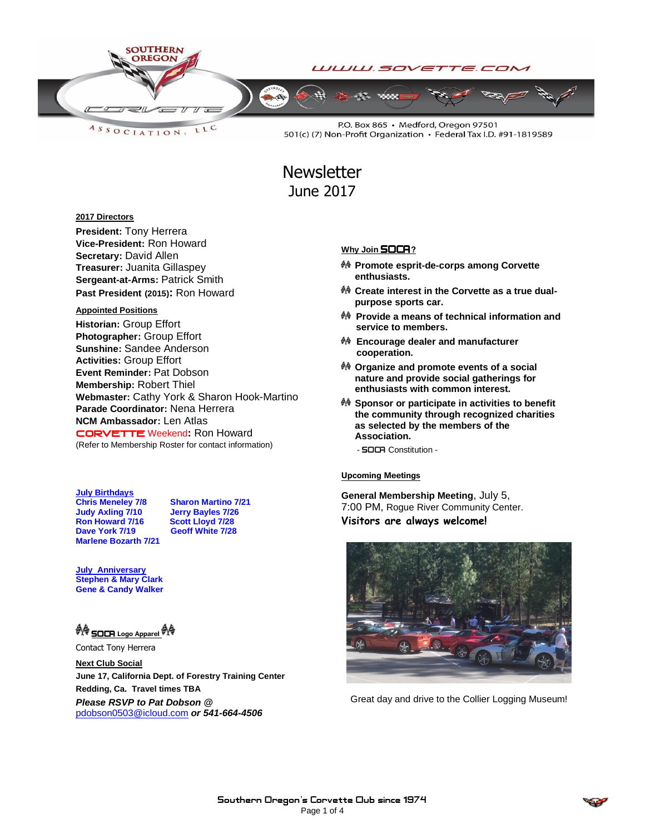

LLC ASSOCIATION.

P.O. Box 865 · Medford, Oregon 97501 501(c) (7) Non-Profit Organization · Federal Tax I.D. #91-1819589

# **Newsletter** June 2017

#### **2017 Directors**

**President:** Tony Herrera **Vice-President:** Ron Howard **Secretary:** David Allen **Treasurer:** Juanita Gillaspey **Sergeant-at-Arms:** Patrick Smith **Past President (2015):** Ron Howard

#### **Appointed Positions**

**Historian:** Group Effort **Photographer:** Group Effort **Sunshine:** Sandee Anderson **Activities:** Group Effort **Event Reminder:** Pat Dobson **Membership:** Robert Thiel **Webmaster:** Cathy York & Sharon Hook-Martino **Parade Coordinator:** Nena Herrera **NCM Ambassador:** Len Atlas CORVETTEWeekend**:** Ron Howard (Refer to Membership Roster for contact information)

**July Birthdays Chris Meneley 7/8 Sharon Martino 7/21 Judy Axling 7/10 Jerry Bayles 7/26 Ron Howard 7/16 Scott Lloyd 7/28 Dave York 7/19 Marlene Bozarth 7/21**

**July Anniversary Stephen & Mary Clark Gene & Candy Walker**

### **AG** SOCA Logo Apparel **M**

Contact Tony Herrera

**Next Club Social June 17, California Dept. of Forestry Training Center Redding, Ca. Travel times TBA**

*Please RSVP to Pat Dobson @*  [pdobson0503@icloud.com](mailto:pdobson0503@icloud.com) *or 541-664-4506*

#### **Why Join SOCA**?

- **Promote esprit-de-corps among Corvette enthusiasts.**
- **Create interest in the Corvette as a true dualpurpose sports car.**
- **Provide a means of technical information and service to members.**
- **Encourage dealer and manufacturer cooperation.**
- **Organize and promote events of a social nature and provide social gatherings for enthusiasts with common interest.**
- **Sponsor or participate in activities to benefit the community through recognized charities as selected by the members of the Association.**
	- **SOCA** Constitution -

#### Upcoming Meetings

**General Membership Meeting**, July 5, 7:00 PM, Rogue River Community Center. **Visitors are always welcome!**



Great day and drive to the Collier Logging Museum!

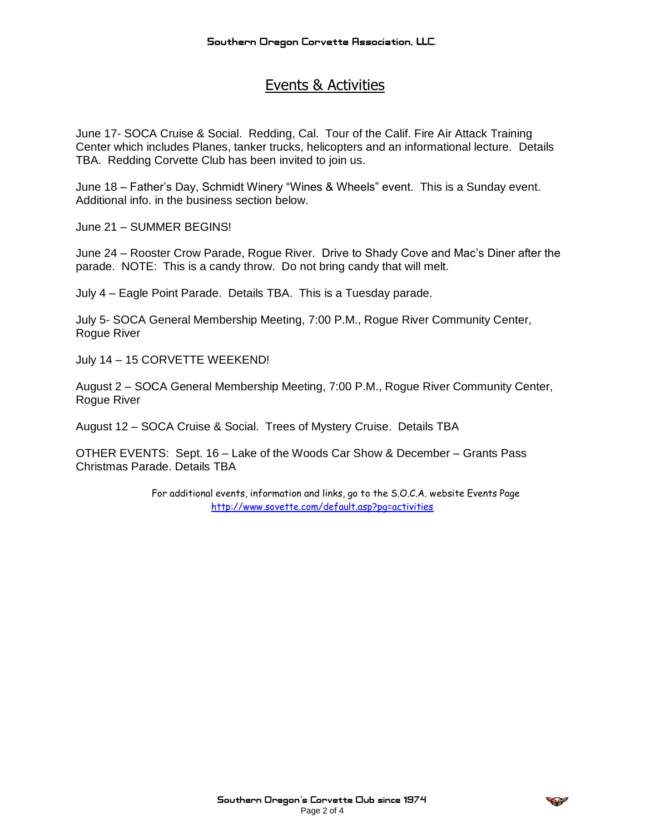## Events & Activities

June 17- SOCA Cruise & Social. Redding, Cal. Tour of the Calif. Fire Air Attack Training Center which includes Planes, tanker trucks, helicopters and an informational lecture. Details TBA. Redding Corvette Club has been invited to join us.

June 18 – Father's Day, Schmidt Winery "Wines & Wheels" event. This is a Sunday event. Additional info. in the business section below.

June 21 – SUMMER BEGINS!

June 24 – Rooster Crow Parade, Rogue River. Drive to Shady Cove and Mac's Diner after the parade. NOTE: This is a candy throw. Do not bring candy that will melt.

July 4 – Eagle Point Parade. Details TBA. This is a Tuesday parade.

July 5- SOCA General Membership Meeting, 7:00 P.M., Rogue River Community Center, Rogue River

July 14 – 15 CORVETTE WEEKEND!

August 2 – SOCA General Membership Meeting, 7:00 P.M., Rogue River Community Center, Rogue River

August 12 – SOCA Cruise & Social. Trees of Mystery Cruise. Details TBA

OTHER EVENTS: Sept. 16 – Lake of the Woods Car Show & December – Grants Pass Christmas Parade. Details TBA

> For additional events, information and links, go to the S.O.C.A. website Events Page <http://www.sovette.com/default.asp?pg=activities>

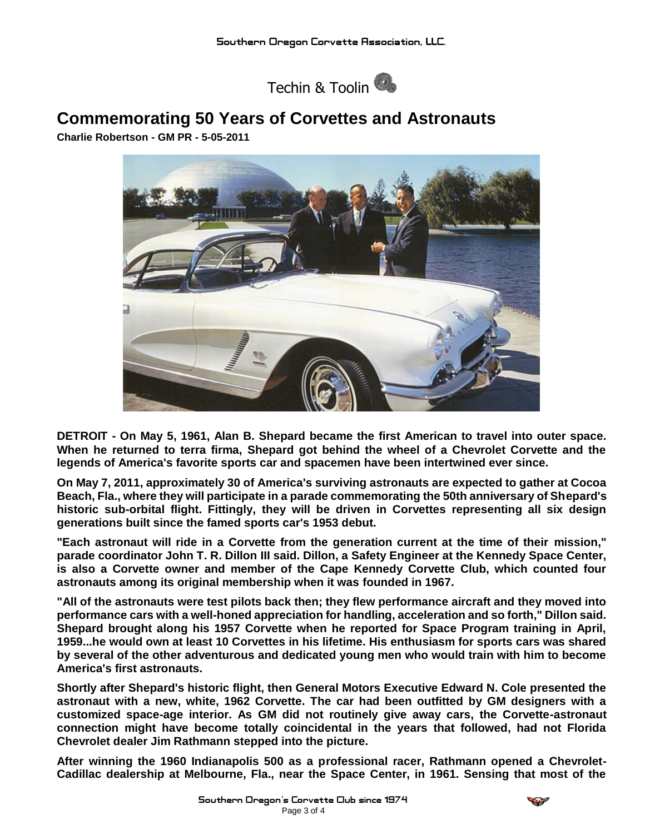

## **Commemorating 50 Years of Corvettes and Astronauts**

**Charlie Robertson - GM PR - 5-05-2011**



**DETROIT - On May 5, 1961, Alan B. Shepard became the first American to travel into outer space. When he returned to terra firma, Shepard got behind the wheel of a Chevrolet Corvette and the legends of America's favorite sports car and spacemen have been intertwined ever since.**

**On May 7, 2011, approximately 30 of America's surviving astronauts are expected to gather at Cocoa Beach, Fla., where they will participate in a parade commemorating the 50th anniversary of Shepard's historic sub-orbital flight. Fittingly, they will be driven in Corvettes representing all six design generations built since the famed sports car's 1953 debut.**

**"Each astronaut will ride in a Corvette from the generation current at the time of their mission," parade coordinator John T. R. Dillon III said. Dillon, a Safety Engineer at the Kennedy Space Center, is also a Corvette owner and member of the Cape Kennedy Corvette Club, which counted four astronauts among its original membership when it was founded in 1967.**

**"All of the astronauts were test pilots back then; they flew performance aircraft and they moved into performance cars with a well-honed appreciation for handling, acceleration and so forth," Dillon said. Shepard brought along his 1957 Corvette when he reported for Space Program training in April, 1959...he would own at least 10 Corvettes in his lifetime. His enthusiasm for sports cars was shared by several of the other adventurous and dedicated young men who would train with him to become America's first astronauts.**

**Shortly after Shepard's historic flight, then General Motors Executive Edward N. Cole presented the astronaut with a new, white, 1962 Corvette. The car had been outfitted by GM designers with a customized space-age interior. As GM did not routinely give away cars, the Corvette-astronaut connection might have become totally coincidental in the years that followed, had not Florida Chevrolet dealer Jim Rathmann stepped into the picture.**

**After winning the 1960 Indianapolis 500 as a professional racer, Rathmann opened a Chevrolet-Cadillac dealership at Melbourne, Fla., near the Space Center, in 1961. Sensing that most of the**